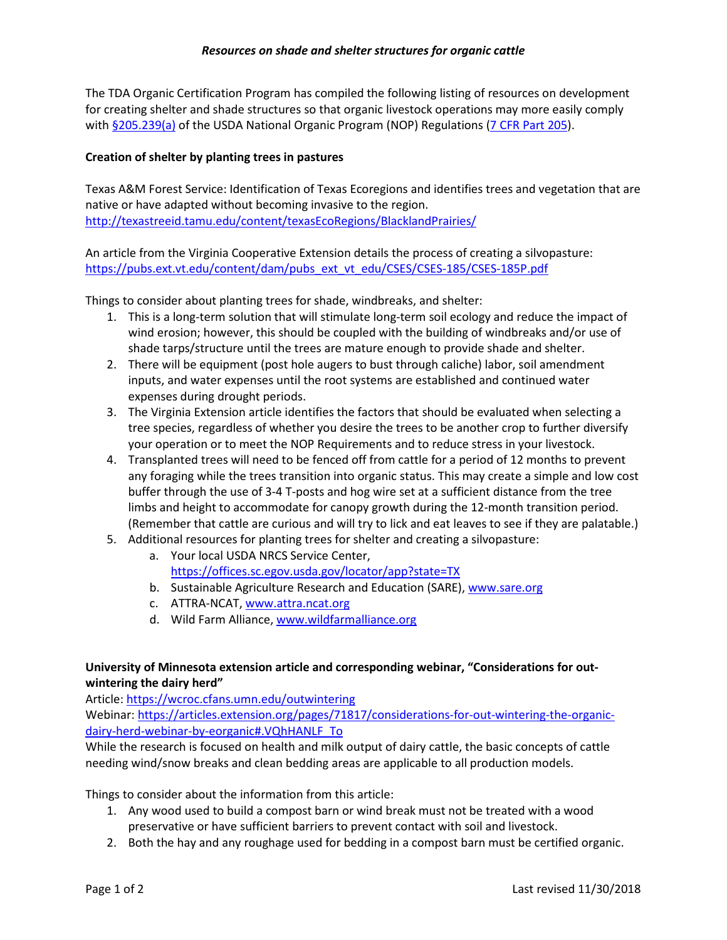The TDA Organic Certification Program has compiled the following listing of resources on development for creating shelter and shade structures so that organic livestock operations may more easily comply with [§205.239\(a\)](https://www.ecfr.gov/cgi-bin/text-idx?SID=e691ce0910f44148540f83bad8804455&mc=true&node=pt7.3.205&rgn=div5%23se7.3.205_1239) of the USDA National Organic Program (NOP) Regulations [\(7 CFR Part 205\)](https://www.ecfr.gov/cgi-bin/text-idx?SID=e691ce0910f44148540f83bad8804455&mc=true&node=pt7.3.205&rgn=div5%23_top).

#### **Creation of shelter by planting trees in pastures**

Texas A&M Forest Service: Identification of Texas Ecoregions and identifies trees and vegetation that are native or have adapted without becoming invasive to the region. <http://texastreeid.tamu.edu/content/texasEcoRegions/BlacklandPrairies/>

An article from the Virginia Cooperative Extension details the process of creating a silvopasture: [https://pubs.ext.vt.edu/content/dam/pubs\\_ext\\_vt\\_edu/CSES/CSES-185/CSES-185P.pdf](https://pubs.ext.vt.edu/content/dam/pubs_ext_vt_edu/CSES/CSES-185/CSES-185P.pdf)

Things to consider about planting trees for shade, windbreaks, and shelter:

- 1. This is a long-term solution that will stimulate long-term soil ecology and reduce the impact of wind erosion; however, this should be coupled with the building of windbreaks and/or use of shade tarps/structure until the trees are mature enough to provide shade and shelter.
- 2. There will be equipment (post hole augers to bust through caliche) labor, soil amendment inputs, and water expenses until the root systems are established and continued water expenses during drought periods.
- 3. The Virginia Extension article identifies the factors that should be evaluated when selecting a tree species, regardless of whether you desire the trees to be another crop to further diversify your operation or to meet the NOP Requirements and to reduce stress in your livestock.
- 4. Transplanted trees will need to be fenced off from cattle for a period of 12 months to prevent any foraging while the trees transition into organic status. This may create a simple and low cost buffer through the use of 3-4 T-posts and hog wire set at a sufficient distance from the tree limbs and height to accommodate for canopy growth during the 12-month transition period. (Remember that cattle are curious and will try to lick and eat leaves to see if they are palatable.)
- 5. Additional resources for planting trees for shelter and creating a silvopasture:
	- a. Your local USDA NRCS Service Center, <https://offices.sc.egov.usda.gov/locator/app?state=TX>
	- b. Sustainable Agriculture Research and Education (SARE), [www.sare.org](http://www.sare.org/)
	- c. ATTRA-NCAT[, www.attra.ncat.org](http://www.attra.ncat.org/)
	- d. Wild Farm Alliance, [www.wildfarmalliance.org](http://www.wildfarmalliance.org/)

# **University of Minnesota extension article and corresponding webinar, "Considerations for outwintering the dairy herd"**

Article[: https://wcroc.cfans.umn.edu/outwintering](https://wcroc.cfans.umn.edu/outwintering)

Webinar: [https://articles.extension.org/pages/71817/considerations-for-out-wintering-the-organic](https://articles.extension.org/pages/71817/considerations-for-out-wintering-the-organic-dairy-herd-webinar-by-eorganic%23.VQhHANLF_To)[dairy-herd-webinar-by-eorganic#.VQhHANLF\\_To](https://articles.extension.org/pages/71817/considerations-for-out-wintering-the-organic-dairy-herd-webinar-by-eorganic%23.VQhHANLF_To)

While the research is focused on health and milk output of dairy cattle, the basic concepts of cattle needing wind/snow breaks and clean bedding areas are applicable to all production models.

Things to consider about the information from this article:

- 1. Any wood used to build a compost barn or wind break must not be treated with a wood preservative or have sufficient barriers to prevent contact with soil and livestock.
- 2. Both the hay and any roughage used for bedding in a compost barn must be certified organic.